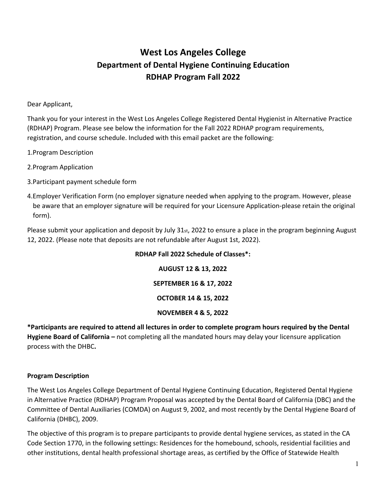# **West Los Angeles College Department of Dental Hygiene Continuing Education RDHAP Program Fall 2022**

Dear Applicant,

Thank you for your interest in the West Los Angeles College Registered Dental Hygienist in Alternative Practice (RDHAP) Program. Please see below the information for the Fall 2022 RDHAP program requirements, registration, and course schedule. Included with this email packet are the following:

1.Program Description

- 2.Program Application
- 3.Participant payment schedule form
- 4.Employer Verification Form (no employer signature needed when applying to the program. However, please be aware that an employer signature will be required for your Licensure Application-please retain the original form).

Please submit your application and deposit by July 31st, 2022 to ensure a place in the program beginning August 12, 2022. (Please note that deposits are not refundable after August 1st, 2022).

## **RDHAP Fall 2022 Schedule of Classes\*:**

**AUGUST 12 & 13, 2022**

**SEPTEMBER 16 & 17, 2022**

**OCTOBER 14 & 15, 2022**

# **NOVEMBER 4 & 5, 2022**

**\*Participants are required to attend all lectures in order to complete program hours required by the Dental Hygiene Board of California –** not completing all the mandated hours may delay your licensure application process with the DHBC**.**

## **Program Description**

The West Los Angeles College Department of Dental Hygiene Continuing Education, Registered Dental Hygiene in Alternative Practice (RDHAP) Program Proposal was accepted by the Dental Board of California (DBC) and the Committee of Dental Auxiliaries (COMDA) on August 9, 2002, and most recently by the Dental Hygiene Board of California (DHBC), 2009.

The objective of this program is to prepare participants to provide dental hygiene services, as stated in the CA Code Section 1770, in the following settings: Residences for the homebound, schools, residential facilities and other institutions, dental health professional shortage areas, as certified by the Office of Statewide Health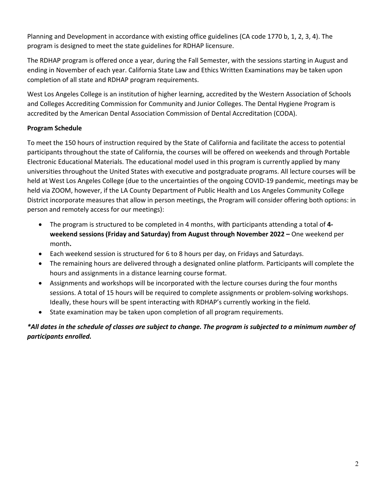Planning and Development in accordance with existing office guidelines (CA code 1770 b, 1, 2, 3, 4). The program is designed to meet the state guidelines for RDHAP licensure.

The RDHAP program is offered once a year, during the Fall Semester, with the sessions starting in August and ending in November of each year. California State Law and Ethics Written Examinations may be taken upon completion of all state and RDHAP program requirements.

West Los Angeles College is an institution of higher learning, accredited by the Western Association of Schools and Colleges Accrediting Commission for Community and Junior Colleges. The Dental Hygiene Program is accredited by the American Dental Association Commission of Dental Accreditation (CODA).

# **Program Schedule**

To meet the 150 hours of instruction required by the State of California and facilitate the access to potential participants throughout the state of California, the courses will be offered on weekends and through Portable Electronic Educational Materials. The educational model used in this program is currently applied by many universities throughout the United States with executive and postgraduate programs. All lecture courses will be held at West Los Angeles College (due to the uncertainties of the ongoing COVID-19 pandemic, meetings may be held via ZOOM, however, if the LA County Department of Public Health and Los Angeles Community College District incorporate measures that allow in person meetings, the Program will consider offering both options: in person and remotely access for our meetings):

- The program is structured to be completed in 4 months, with participants attending a total of **4 weekend sessions (Friday and Saturday) from August through November 2022 –** One weekend per month**.**
- Each weekend session is structured for 6 to 8 hours per day, on Fridays and Saturdays.
- The remaining hours are delivered through a designated online platform. Participants will complete the hours and assignments in a distance learning course format.
- Assignments and workshops will be incorporated with the lecture courses during the four months sessions. A total of 15 hours will be required to complete assignments or problem-solving workshops. Ideally, these hours will be spent interacting with RDHAP's currently working in the field.
- State examination may be taken upon completion of all program requirements.

*\*All dates in the schedule of classes are subject to change. The program is subjected to a minimum number of participants enrolled.*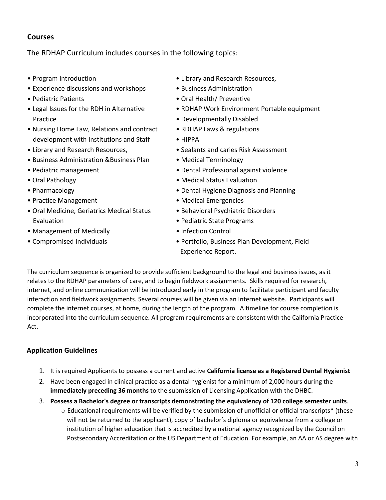# **Courses**

The RDHAP Curriculum includes courses in the following topics:

- Program Introduction
- Experience discussions and workshops
- Pediatric Patients
- Legal Issues for the RDH in Alternative Practice
- Nursing Home Law, Relations and contract development with Institutions and Staff
- Library and Research Resources,
- Business Administration &Business Plan
- Pediatric management
- Oral Pathology
- Pharmacology
- Practice Management
- Oral Medicine, Geriatrics Medical Status Evaluation
- Management of Medically • Compromised Individuals
- Library and Research Resources,
- Business Administration
- Oral Health/ Preventive
- RDHAP Work Environment Portable equipment
- Developmentally Disabled
- RDHAP Laws & regulations
- HIPPA
- Sealants and caries Risk Assessment
- Medical Terminology
- Dental Professional against violence
- Medical Status Evaluation
- Dental Hygiene Diagnosis and Planning
- Medical Emergencies
- Behavioral Psychiatric Disorders
- Pediatric State Programs
- Infection Control
- Portfolio, Business Plan Development, Field Experience Report.

The curriculum sequence is organized to provide sufficient background to the legal and business issues, as it relates to the RDHAP parameters of care, and to begin fieldwork assignments. Skills required for research, internet, and online communication will be introduced early in the program to facilitate participant and faculty interaction and fieldwork assignments. Several courses will be given via an Internet website. Participants will complete the internet courses, at home, during the length of the program. A timeline for course completion is incorporated into the curriculum sequence. All program requirements are consistent with the California Practice Act.

# **Application Guidelines**

- 1. It is required Applicants to possess a current and active **California license as a Registered Dental Hygienist**
- 2. Have been engaged in clinical practice as a dental hygienist for a minimum of 2,000 hours during the **immediately preceding 36 months** to the submission of Licensing Application with the DHBC.
- 3. **Possess a Bachelor's degree or transcripts demonstrating the equivalency of 120 college semester units**.
	- $\circ$  Educational requirements will be verified by the submission of unofficial or official transcripts\* (these will not be returned to the applicant), copy of bachelor's diploma or equivalence from a college or institution of higher education that is accredited by a national agency recognized by the Council on Postsecondary Accreditation or the US Department of Education. For example, an AA or AS degree with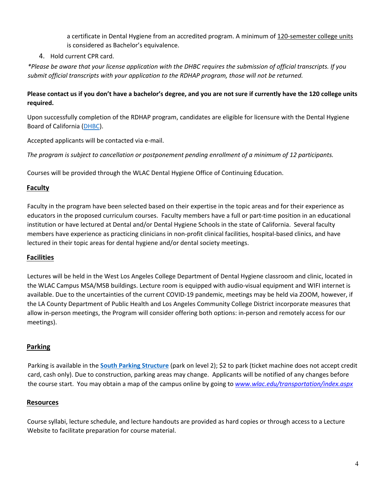a certificate in Dental Hygiene from an accredited program. A minimum of 120-semester college units is considered as Bachelor's equivalence.

# 4. Hold current CPR card.

*\*Please be aware that your license application with the DHBC requires the submission of official transcripts. If you submit official transcripts with your application to the RDHAP program, those will not be returned.*

## **Please contact us if you don't have a bachelor's degree, and you are not sure if currently have the 120 college units required.**

Upon successfully completion of the RDHAP program, candidates are eligible for licensure with the Dental Hygiene Board of California [\(DHBC\)](https://www.dhbc.ca.gov/consumers/duties_rdhap.shtml).

Accepted applicants will be contacted via e-mail.

*The program is subject to cancellation or postponement pending enrollment of a minimum of 12 participants.* 

Courses will be provided through the WLAC Dental Hygiene Office of Continuing Education.

# **Faculty**

Faculty in the program have been selected based on their expertise in the topic areas and for their experience as educators in the proposed curriculum courses. Faculty members have a full or part-time position in an educational institution or have lectured at Dental and/or Dental Hygiene Schools in the state of California. Several faculty members have experience as practicing clinicians in non-profit clinical facilities, hospital-based clinics, and have lectured in their topic areas for dental hygiene and/or dental society meetings.

# **Facilities**

Lectures will be held in the West Los Angeles College Department of Dental Hygiene classroom and clinic, located in the WLAC Campus MSA/MSB buildings. Lecture room is equipped with audio-visual equipment and WIFI internet is available. Due to the uncertainties of the current COVID-19 pandemic, meetings may be held via ZOOM, however, if the LA County Department of Public Health and Los Angeles Community College District incorporate measures that allow in-person meetings, the Program will consider offering both options: in-person and remotely access for our meetings).

# **Parking**

Parking is available in the **[South Parking Structure](http://wlac.edu/transportation/index.aspx)** (park on level 2); \$2 to park (ticket machine does not accept credit card, cash only). Due to construction, parking areas may change. Applicants will be notified of any changes before the course start. You may obtain a map of the campus online by going to *[www.wlac.edu/transportation/index.aspx](http://www.wlac.edu/transportation/index.)*

# **Resources**

Course syllabi, lecture schedule, and lecture handouts are provided as hard copies or through access to a Lecture Website to facilitate preparation for course material.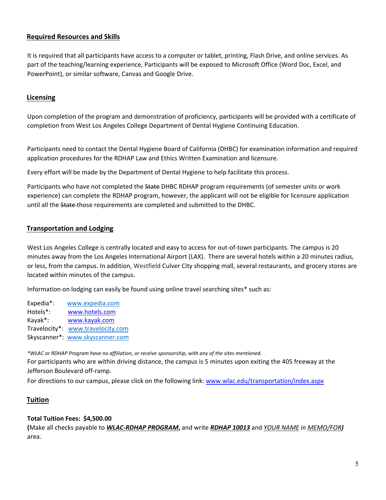## **Required Resources and Skills**

It is required that all participants have access to a computer or tablet, printing, Flash Drive, and online services. As part of the teaching/learning experience, Participants will be exposed to Microsoft Office (Word Doc, Excel, and PowerPoint), or similar software, Canvas and Google Drive.

## **Licensing**

Upon completion of the program and demonstration of proficiency, participants will be provided with a certificate of completion from West Los Angeles College Department of Dental Hygiene Continuing Education.

Participants need to contact the Dental Hygiene Board of California (DHBC) for examination information and required application procedures for the RDHAP Law and Ethics Written Examination and licensure.

Every effort will be made by the Department of Dental Hygiene to help facilitate this process.

Participants who have not completed the State DHBC RDHAP program requirements (of semester units or work experience) can complete the RDHAP program, however, the applicant will not be eligible for licensure application until all the State-those requirements are completed and submitted to the DHBC.

## **Transportation and Lodging**

West Los Angeles College is centrally located and easy to access for out-of-town participants. The campus is 20 minutes away from the Los Angeles International Airport (LAX). There are several hotels within a 20 minutes radius, or less, from the campus. In addition, Westfield Culver City shopping mall, several restaurants, and grocery stores are located within minutes of the campus.

Information on lodging can easily be found using online travel searching sites\* such as:

Expedia\*: [www.expedia.com](http://www.expedia.com/)  Hotels\*: www.hotels.com Kayak\*: www.kayak.com Travelocity\*: [www.travelocity.com](http://www.travelocity.com/)  Skyscanner\*: [www.skyscanner.com](http://www.skyscanner.com/)

*\*WLAC or RDHAP Program have no affiliation, or receive sponsorship, with any of the sites mentioned.* For participants who are within driving distance, the campus is 5 minutes upon exiting the 405 freeway at the Jefferson Boulevard off-ramp.

For directions to our campus, please click on the following link[: www.wlac.edu/transportation/index.aspx](http://www.wlac.edu/transportation/index.aspx)

## **Tuition**

## **Total Tuition Fees: \$4,500.00**

**(**Make all checks payable to *WLAC-RDHAP PROGRAM***,** and write *RDHAP 10013* and *YOUR NAME in MEMO/FOR)*  area.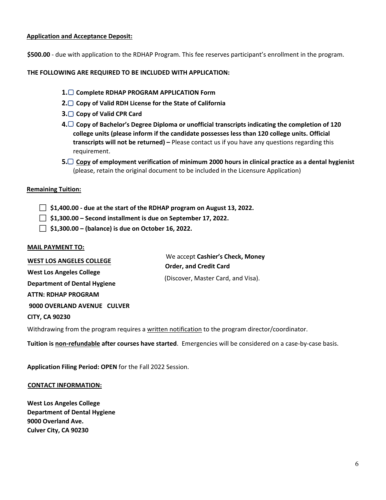## **Application and Acceptance Deposit:**

**\$500.00** - due with application to the RDHAP Program. This fee reserves participant's enrollment in the program.

### **THE FOLLOWING ARE REQUIRED TO BE INCLUDED WITH APPLICATION:**

- **1. Complete RDHAP PROGRAM APPLICATION Form**
- **2. Copy of Valid RDH License for the State of California**
- **3. Copy of Valid CPR Card**
- **4. Copy of Bachelor's Degree Diploma or unofficial transcripts indicating the completion of 120 college units (please inform if the candidate possesses less than 120 college units. Official transcripts will not be returned) –** Please contact us if you have any questions regarding this requirement.
- **5. Copy of employment verification of minimum 2000 hours in clinical practice as a dental hygienist** (please, retain the original document to be included in the Licensure Application)

#### **Remaining Tuition:**

**\$1,400.00 - due at the start of the RDHAP program on August 13, 2022.** 

- **\$1,300.00 Second installment is due on September 17, 2022.**
- **\$1,300.00 (balance) is due on October 16, 2022.**

#### **MAIL PAYMENT TO:**

We accept **Cashier's Check, Money Order, and Credit Card**  (Discover, Master Card, and Visa). **WEST LOS ANGELES COLLEGE West Los Angeles College Department of Dental Hygiene ATTN: RDHAP PROGRAM 9000 OVERLAND AVENUE CULVER CITY, CA 90230** 

Withdrawing from the program requires a written notification to the program director/coordinator.

**Tuition is non-refundable after courses have started**. Emergencies will be considered on a case-by-case basis.

**Application Filing Period: OPEN** for the Fall 2022 Session.

#### **CONTACT INFORMATION:**

**West Los Angeles College Department of Dental Hygiene 9000 Overland Ave. Culver City, CA 90230**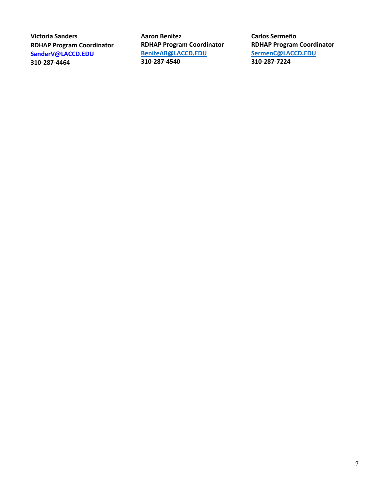**Victoria Sanders RDHAP Program Coordinator SanderV@LACCD.EDU 310-287-4464** 

**Aaron Benitez RDHAP Program Coordinator [BeniteAB@LACCD.EDU](mailto:BeniteAB@LACCD.EDU) 310-287-4540**

**Carlos Sermeño RDHAP Program Coordinator [SermenC@LACCD.EDU](mailto:SermenC@LACCD.EDU) 310-287-7224**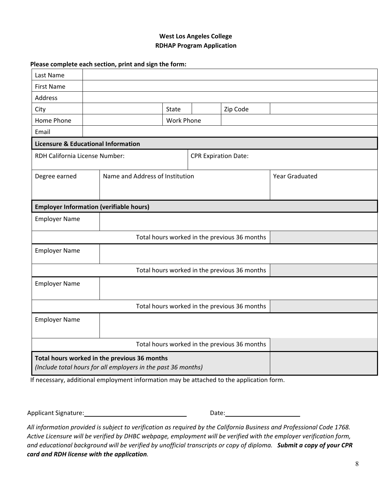## **West Los Angeles College RDHAP Program Application**

#### **Please complete each section, print and sign the form:**

| Last Name                                                                                                     |  |  |                                 |                             |          |                       |  |
|---------------------------------------------------------------------------------------------------------------|--|--|---------------------------------|-----------------------------|----------|-----------------------|--|
| <b>First Name</b>                                                                                             |  |  |                                 |                             |          |                       |  |
| Address                                                                                                       |  |  |                                 |                             |          |                       |  |
| City                                                                                                          |  |  | <b>State</b>                    |                             | Zip Code |                       |  |
| Home Phone                                                                                                    |  |  | <b>Work Phone</b>               |                             |          |                       |  |
| Email                                                                                                         |  |  |                                 |                             |          |                       |  |
| <b>Licensure &amp; Educational Information</b>                                                                |  |  |                                 |                             |          |                       |  |
| RDH California License Number:                                                                                |  |  |                                 | <b>CPR Expiration Date:</b> |          |                       |  |
| Degree earned                                                                                                 |  |  | Name and Address of Institution |                             |          | <b>Year Graduated</b> |  |
| <b>Employer Information (verifiable hours)</b>                                                                |  |  |                                 |                             |          |                       |  |
| <b>Employer Name</b>                                                                                          |  |  |                                 |                             |          |                       |  |
| Total hours worked in the previous 36 months                                                                  |  |  |                                 |                             |          |                       |  |
| <b>Employer Name</b>                                                                                          |  |  |                                 |                             |          |                       |  |
| Total hours worked in the previous 36 months                                                                  |  |  |                                 |                             |          |                       |  |
| <b>Employer Name</b>                                                                                          |  |  |                                 |                             |          |                       |  |
| Total hours worked in the previous 36 months                                                                  |  |  |                                 |                             |          |                       |  |
| <b>Employer Name</b>                                                                                          |  |  |                                 |                             |          |                       |  |
| Total hours worked in the previous 36 months                                                                  |  |  |                                 |                             |          |                       |  |
| Total hours worked in the previous 36 months<br>(Include total hours for all employers in the past 36 months) |  |  |                                 |                             |          |                       |  |

If necessary, additional employment information may be attached to the application form.

Applicant Signature: Date:

*All information provided is subject to verification as required by the California Business and Professional Code 1768. Active Licensure will be verified by DHBC webpage, employment will be verified with the employer verification form, and educational background will be verified by unofficial transcripts or copy of diploma. Submit a copy of your CPR card and RDH license with the application.*